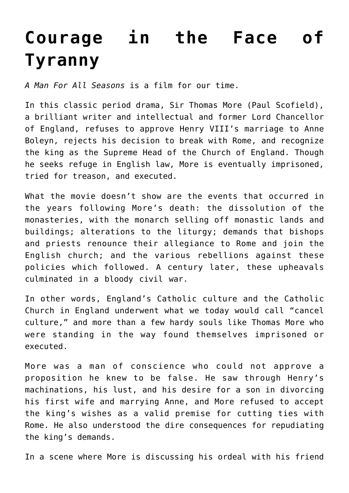## **[Courage in the Face of](https://intellectualtakeout.org/2021/04/courage-in-the-face-of-tyranny/) [Tyranny](https://intellectualtakeout.org/2021/04/courage-in-the-face-of-tyranny/)**

*A Man For All Seasons* is a film for our time.

In this classic period drama, Sir Thomas More (Paul Scofield), a brilliant writer and intellectual and former Lord Chancellor of England, refuses to approve Henry VIII's marriage to Anne Boleyn, rejects his decision to break with Rome, and recognize the king as the Supreme Head of the Church of England. Though he seeks refuge in English law, More is eventually imprisoned, tried for treason, and executed.

What the movie doesn't show are the events that occurred in the years following More's death: the dissolution of the monasteries, with the monarch selling off monastic lands and buildings; alterations to the liturgy; demands that bishops and priests renounce their allegiance to Rome and join the English church; and the various rebellions against these policies which followed. A century later, these upheavals culminated in a bloody civil war.

In other words, England's Catholic culture and the Catholic Church in England underwent what we today would call "cancel culture," and more than a few hardy souls like Thomas More who were standing in the way found themselves imprisoned or executed.

More was a man of conscience who could not approve a proposition he knew to be false. He saw through Henry's machinations, his lust, and his desire for a son in divorcing his first wife and marrying Anne, and More refused to accept the king's wishes as a valid premise for cutting ties with Rome. He also understood the dire consequences for repudiating the king's demands.

In a scene where More is discussing his ordeal with his friend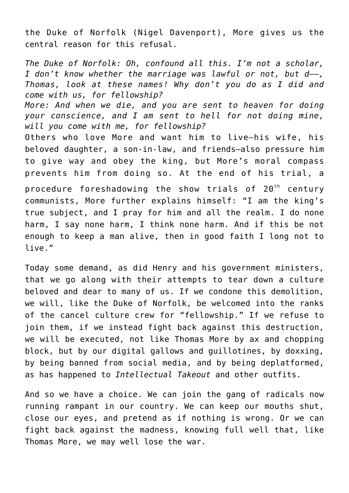the Duke of Norfolk (Nigel Davenport), More gives us the central reason for this refusal.

*The Duke of Norfolk: Oh, confound all this. I'm not a scholar, I don't know whether the marriage was lawful or not, but d—–, Thomas, look at these names! Why don't you do as I did and come with us, for fellowship?*

*More: And when we die, and you are sent to heaven for doing your conscience, and I am sent to hell for not doing mine, will you come with me, for fellowship?*

Others who love More and want him to live—his wife, his beloved daughter, a son-in-law, and friends—also pressure him to give way and obey the king, but More's moral compass prevents him from doing so. At the end of his trial, a

procedure foreshadowing the show trials of  $20<sup>th</sup>$  century communists, More further explains himself: "I am the king's true subject, and I pray for him and all the realm. I do none harm, I say none harm, I think none harm. And if this be not enough to keep a man alive, then in good faith I long not to live."

Today some demand, as did Henry and his government ministers, that we go along with their attempts to tear down a culture beloved and dear to many of us. If we condone this demolition, we will, like the Duke of Norfolk, be welcomed into the ranks of the cancel culture crew for "fellowship." If we refuse to join them, if we instead fight back against this destruction, we will be executed, not like Thomas More by ax and chopping block, but by our digital gallows and guillotines, by doxxing, by being banned from social media, and by being deplatformed, as has happened to *Intellectual Takeout* and other outfits.

And so we have a choice. We can join the gang of radicals now running rampant in our country. We can keep our mouths shut, close our eyes, and pretend as if nothing is wrong. Or we can fight back against the madness, knowing full well that, like Thomas More, we may well lose the war.